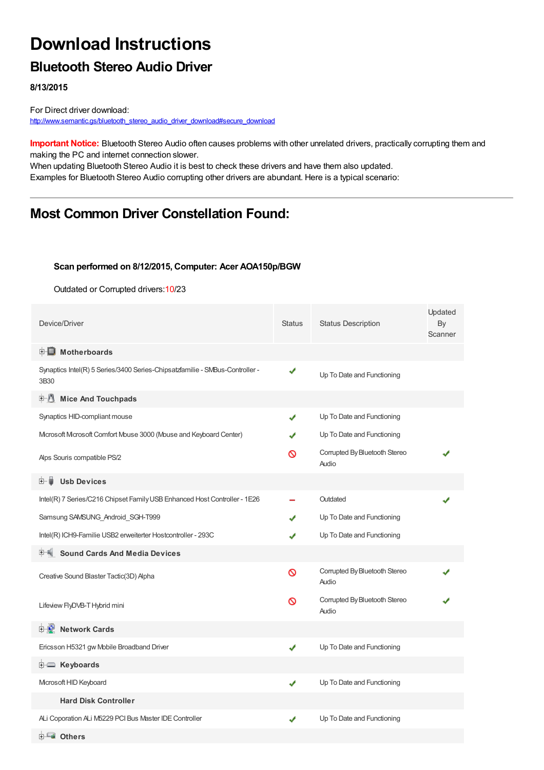# **Download Instructions**

### **Bluetooth Stereo Audio Driver**

**8/13/2015**

For Direct driver download: [http://www.semantic.gs/bluetooth\\_stereo\\_audio\\_driver\\_download#secure\\_download](http://www.semantic.gs/bluetooth_stereo_audio_driver_download#secure_download)

**Important Notice:** Bluetooth Stereo Audio often causes problems with other unrelated drivers, practically corrupting them and making the PC and internet connection slower.

When updating Bluetooth Stereo Audio it is best to check these drivers and have them also updated. Examples for Bluetooth Stereo Audio corrupting other drivers are abundant. Here is a typical scenario:

# **Most Common Driver Constellation Found:**

#### **Scan performed on 8/12/2015, Computer: Acer AOA150p/BGW**

Outdated or Corrupted drivers:10/23

| Device/Driver                                                                        | <b>Status</b> | <b>Status Description</b>              | Updated<br>By<br>Scanner |
|--------------------------------------------------------------------------------------|---------------|----------------------------------------|--------------------------|
| <b>E</b> Motherboards                                                                |               |                                        |                          |
| Synaptics Intel(R) 5 Series/3400 Series-Chipsatzfamilie - SMBus-Controller -<br>3B30 | ✔             | Up To Date and Functioning             |                          |
| <b>E</b> Mice And Touchpads                                                          |               |                                        |                          |
| Synaptics HID-compliant mouse                                                        | J             | Up To Date and Functioning             |                          |
| Microsoft Microsoft Comfort Mouse 3000 (Mouse and Keyboard Center)                   |               | Up To Date and Functioning             |                          |
| Alps Souris compatible PS/2                                                          | ര             | Corrupted By Bluetooth Stereo<br>Audio |                          |
| <b>Ush Devices</b><br>田… ■                                                           |               |                                        |                          |
| Intel(R) 7 Series/C216 Chipset Family USB Enhanced Host Controller - 1E26            |               | Outdated                               |                          |
| Samsung SAMSUNG Android SGH-T999                                                     |               | Up To Date and Functioning             |                          |
| Intel(R) ICH9-Familie USB2 erweiterter Hostcontroller - 293C                         |               | Up To Date and Functioning             |                          |
| <b>Sound Cards And Media Devices</b>                                                 |               |                                        |                          |
| Creative Sound Blaster Tactic(3D) Alpha                                              | Ø             | Corrupted By Bluetooth Stereo<br>Audio |                          |
| Lifeview FlyDVB-T Hybrid mini                                                        | ଷ             | Corrupted By Bluetooth Stereo<br>Audio |                          |
| <b>E-2</b> Network Cards                                                             |               |                                        |                          |
| Ericsson H5321 gw Mobile Broadband Driver                                            | ✔             | Up To Date and Functioning             |                          |
| E Keyboards                                                                          |               |                                        |                          |
| Microsoft HID Keyboard                                                               | ✔             | Up To Date and Functioning             |                          |
| <b>Hard Disk Controller</b>                                                          |               |                                        |                          |
| ALi Coporation ALi M5229 PCI Bus Master IDE Controller                               |               | Up To Date and Functioning             |                          |
| Dthers                                                                               |               |                                        |                          |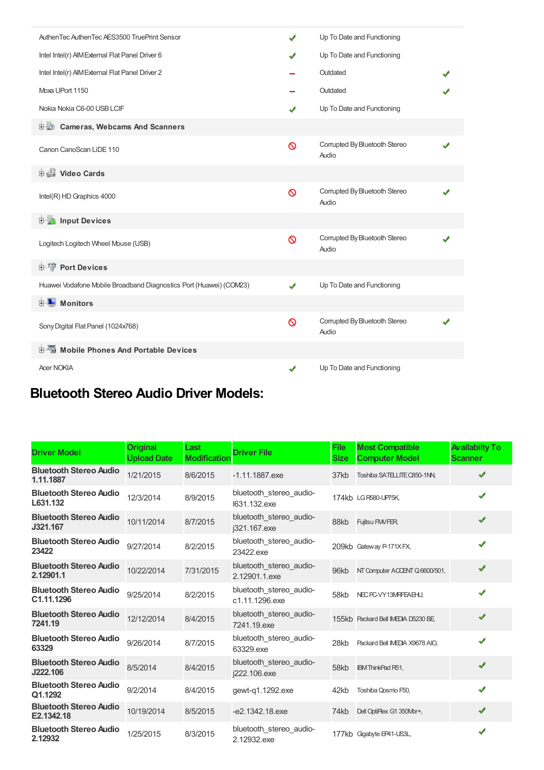| AuthenTec AuthenTec AES3500 TruePrint Sensor                       |   | Up To Date and Functioning             |  |
|--------------------------------------------------------------------|---|----------------------------------------|--|
| Intel Intel(r) AIM External Flat Panel Driver 6                    |   | Up To Date and Functioning             |  |
| Intel Intel(r) AIM External Flat Panel Driver 2                    |   | Outdated                               |  |
| Moxa UPort 1150                                                    |   | Outdated                               |  |
| Nokia Nokia C6-00 USB LCIF                                         | ✔ | Up To Date and Functioning             |  |
| <b>D</b> Cameras, Webcams And Scanners                             |   |                                        |  |
| Canon CanoScan LiDE 110                                            | Ø | Corrupted By Bluetooth Stereo<br>Audio |  |
| 由 Video Cards                                                      |   |                                        |  |
| Intel(R) HD Graphics 4000                                          | Ø | Corrupted By Bluetooth Stereo<br>Audio |  |
| <b>Devices</b> Input Devices                                       |   |                                        |  |
| Logitech Logitech Wheel Mouse (USB)                                | ⋒ | Corrupted By Bluetooth Stereo<br>Audio |  |
| <b>E-</b> Port Devices                                             |   |                                        |  |
| Huawei Vodafone Mobile Broadband Diagnostics Port (Huawei) (COM23) | J | Up To Date and Functioning             |  |
| <b>E</b> Monitors                                                  |   |                                        |  |
| Sony Digital Flat Panel (1024x768)                                 | Ø | Corrupted By Bluetooth Stereo<br>Audio |  |
| <b>E-6</b> Mobile Phones And Portable Devices                      |   |                                        |  |
| <b>Acer NOKIA</b>                                                  |   | Up To Date and Functioning             |  |

# **Bluetooth Stereo Audio Driver Models:**

| <b>Driver Model</b>                         | <b>Original</b><br><b>Upload Date</b> | Last<br><b>Modification</b> | <b>Driver File</b>                        | <b>File</b><br><b>Size</b> | <b>Most Compatible</b><br><b>Computer Model</b> | <b>Availabilty To</b><br><b>Scanner</b> |
|---------------------------------------------|---------------------------------------|-----------------------------|-------------------------------------------|----------------------------|-------------------------------------------------|-----------------------------------------|
| <b>Bluetooth Stereo Audio</b><br>1.11.1887  | 1/21/2015                             | 8/6/2015                    | $-1.11.1887$ .exe                         | 37kb                       | Toshiba SATELLITE C850-1NN                      | ✔                                       |
| <b>Bluetooth Stereo Audio</b><br>L631.132   | 12/3/2014                             | 8/9/2015                    | bluetooth stereo audio-<br>1631.132.exe   |                            | 174kb LG R580-UP75K.                            | ✔                                       |
| <b>Bluetooth Stereo Audio</b><br>J321.167   | 10/11/2014                            | 8/7/2015                    | bluetooth stereo audio-<br>i321.167.exe   | 88kb                       | <b>Fujitsu FMVFER</b>                           | ✔                                       |
| <b>Bluetooth Stereo Audio</b><br>23422      | 9/27/2014                             | 8/2/2015                    | bluetooth stereo audio-<br>23422.exe      |                            | 209kb Gateway P-171X FX.                        | ✔                                       |
| <b>Bluetooth Stereo Audio</b><br>2.12901.1  | 10/22/2014                            | 7/31/2015                   | bluetooth_stereo_audio-<br>2.12901.1.exe  | 96kb                       | NT Computer ACCENT Q 6600/501,                  | ✔                                       |
| <b>Bluetooth Stereo Audio</b><br>C1.11.1296 | 9/25/2014                             | 8/2/2015                    | bluetooth stereo audio-<br>c1.11.1296.exe | 58kb                       | NEC PC-VY13MRFEAEHU.                            | ✔                                       |
| <b>Bluetooth Stereo Audio</b><br>7241.19    | 12/12/2014                            | 8/4/2015                    | bluetooth stereo_audio-<br>7241.19.exe    |                            | 155kb Packard Bell IMEDIA D5230 BE,             | ✔                                       |
| <b>Bluetooth Stereo Audio</b><br>63329      | 9/26/2014                             | 8/7/2015                    | bluetooth stereo audio-<br>63329.exe      | 28kb                       | Packard Bell IMEDIA X9678 AIO.                  | ✔                                       |
| <b>Bluetooth Stereo Audio</b><br>J222.106   | 8/5/2014                              | 8/4/2015                    | bluetooth_stereo_audio-<br>i222.106.exe   | 58kb                       | <b>IBM ThinkPad R51,</b>                        | ✔                                       |
| <b>Bluetooth Stereo Audio</b><br>Q1.1292    | 9/2/2014                              | 8/4/2015                    | gewt-g1.1292.exe                          | 42kb                       | Toshiba Qosmio F50,                             | ✔                                       |
| <b>Bluetooth Stereo Audio</b><br>E2.1342.18 | 10/19/2014                            | 8/5/2015                    | $-e2.1342.18$ .exe                        | 74kb                       | Dell OptiPlex G1 350Mbr+,                       | ✔                                       |
| <b>Bluetooth Stereo Audio</b><br>2.12932    | 1/25/2015                             | 8/3/2015                    | bluetooth stereo audio-<br>2.12932.exe    |                            | 177kb Gigabyte EP41-US3L,                       | ✔                                       |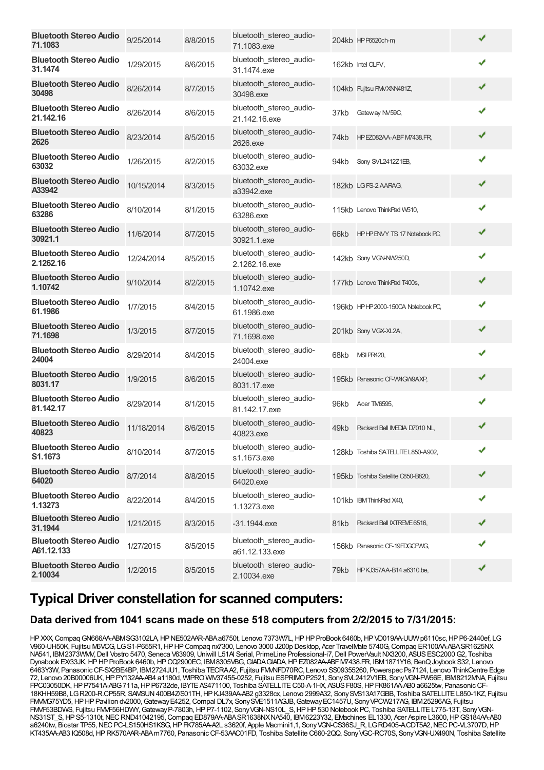| <b>Bluetooth Stereo Audio</b><br>71.1083    | 9/25/2014  | 8/8/2015 | bluetooth_stereo_audio-<br>71.1083.exe    |      | 204kb HPP6520ch-m                  | ✔ |  |
|---------------------------------------------|------------|----------|-------------------------------------------|------|------------------------------------|---|--|
| <b>Bluetooth Stereo Audio</b><br>31.1474    | 1/29/2015  | 8/6/2015 | bluetooth_stereo_audio-<br>31.1474.exe    |      | 162kb Intel OLFV,                  |   |  |
| <b>Bluetooth Stereo Audio</b><br>30498      | 8/26/2014  | 8/7/2015 | bluetooth stereo audio-<br>30498.exe      |      | 104kb Fujitsu FMVXNN481Z,          | ✔ |  |
| <b>Bluetooth Stereo Audio</b><br>21.142.16  | 8/26/2014  | 8/6/2015 | bluetooth_stereo_audio-<br>21.142.16.exe  | 37kb | Gateway NV59C,                     | ✔ |  |
| <b>Bluetooth Stereo Audio</b><br>2626       | 8/23/2014  | 8/5/2015 | bluetooth stereo audio-<br>2626.exe       | 74kb | HPEZ082AA-ABF M7438.FR,            | ✔ |  |
| <b>Bluetooth Stereo Audio</b><br>63032      | 1/26/2015  | 8/2/2015 | bluetooth_stereo_audio-<br>63032.exe      | 94kb | Sony SVL2412Z1EB,                  | ✔ |  |
| <b>Bluetooth Stereo Audio</b><br>A33942     | 10/15/2014 | 8/3/2015 | bluetooth_stereo_audio-<br>a33942.exe     |      | 182kb LGFS-2.AARAG,                | ✔ |  |
| <b>Bluetooth Stereo Audio</b><br>63286      | 8/10/2014  | 8/1/2015 | bluetooth_stereo_audio-<br>63286.exe      |      | 115kb Lenovo ThinkPad W510,        | ✔ |  |
| <b>Bluetooth Stereo Audio</b><br>30921.1    | 11/6/2014  | 8/7/2015 | bluetooth stereo audio-<br>30921.1.exe    |      | 66kb HPHPENVY TS 17 Notebook PC,   | ✔ |  |
| <b>Bluetooth Stereo Audio</b><br>2.1262.16  | 12/24/2014 | 8/5/2015 | bluetooth stereo audio-<br>2.1262.16.exe  |      | 142kb Sony VGN-NW250D,             | ✔ |  |
| <b>Bluetooth Stereo Audio</b><br>1.10742    | 9/10/2014  | 8/2/2015 | bluetooth_stereo_audio-<br>1.10742.exe    |      | 177kb Lenovo ThinkPad T400s,       | ✔ |  |
| <b>Bluetooth Stereo Audio</b><br>61.1986    | 1/7/2015   | 8/4/2015 | bluetooth_stereo_audio-<br>61.1986.exe    |      | 196kb HPHP 2000-150CA Notebook PC, | ✔ |  |
| <b>Bluetooth Stereo Audio</b><br>71.1698    | 1/3/2015   | 8/7/2015 | bluetooth_stereo_audio-<br>71.1698.exe    |      | 201kb Sony VGX-XL2A,               | ✔ |  |
| <b>Bluetooth Stereo Audio</b><br>24004      | 8/29/2014  | 8/4/2015 | bluetooth_stereo_audio-<br>24004.exe      | 68kb | MSI PR420,                         | ✔ |  |
| <b>Bluetooth Stereo Audio</b><br>8031.17    | 1/9/2015   | 8/6/2015 | bluetooth_stereo_audio-<br>8031.17.exe    |      | 195kb Panasonic CF-W4GW9AXP,       | ✔ |  |
| <b>Bluetooth Stereo Audio</b><br>81.142.17  | 8/29/2014  | 8/1/2015 | bluetooth_stereo_audio-<br>81.142.17.exe  | 96kb | Acer TM6595,                       | ✔ |  |
| <b>Bluetooth Stereo Audio</b><br>40823      | 11/18/2014 | 8/6/2015 | bluetooth stereo audio-<br>40823.exe      | 49kb | Packard Bell IMEDIA D7010 NL,      | ✔ |  |
| <b>Bluetooth Stereo Audio</b><br>S1.1673    | 8/10/2014  | 8/7/2015 | bluetooth_stereo_audio-<br>s1.1673.exe    |      | 128kb Toshiba SATELLITE L850-A902, | ✔ |  |
| <b>Bluetooth Stereo Audio</b><br>64020      | 8/7/2014   | 8/8/2015 | bluetooth_stereo_audio-<br>64020.exe      |      | 195kb Toshiba Satellite C850-B820, | ✔ |  |
| <b>Bluetooth Stereo Audio</b><br>1.13273    | 8/22/2014  | 8/4/2015 | bluetooth_stereo_audio-<br>1.13273.exe    |      | 101kb IBM ThinkPad X40,            | ✔ |  |
| <b>Bluetooth Stereo Audio</b><br>31.1944    | 1/21/2015  | 8/3/2015 | $-31.1944$ .exe                           | 81kb | Packard Bell IXTREME 6516,         | ✔ |  |
| <b>Bluetooth Stereo Audio</b><br>A61.12.133 | 1/27/2015  | 8/5/2015 | bluetooth_stereo_audio-<br>a61.12.133.exe |      | 156kb Panasonic CF-19FDGCFWG,      | ✔ |  |
| <b>Bluetooth Stereo Audio</b><br>2.10034    | 1/2/2015   | 8/5/2015 | bluetooth_stereo_audio-<br>2.10034.exe    | 79kb | HPKJ357AA-B14 a6310.be,            | ✔ |  |

# **Typical Driver constellation for scanned computers:**

#### **Data derived from 1041 scans made on these 518 computers from 2/2/2015 to 7/31/2015:**

HPXXX, Compaq GN666AA-ABMSG3102LA, HP NE502AAR-ABA a6750t, Lenovo 7373W7L, HP HP ProBook 6460b, HP VD019AA-UUW p6110sc, HP P6-2440ef, LG V960-UH50K, Fujitsu M6VCG, LGS1-P655R1,HPHPCompaq nx7300, Lenovo 3000 J200p Desktop, Acer TravelMate 5740G,Compaq ER100AA-ABASR1625NX NA541, IBM2373WMV, Dell Vostro 5470, Seneca V63909, Uniwill L51Al Serial, PrimeLine Professional-i7, Dell PowerVault NX3200, ASUS ESC2000 G2, Toshiba Dynabook EX/33JK,HPHPProBook 6460b,HPCQ2900EC, IBM8305VBG,GIADAGIADA,HPEZ082AA-ABFM7438.FR, IBM1871Y16, BenQJoybook S32, Lenovo 6463Y3W, PanasonicCF-SX2BE4BP, IBM2724JU1, Toshiba TECRAA2, Fujitsu FMVNFD70RC, Lenovo SS09355260, Powerspec Ps7124, Lenovo ThinkCentre Edge 72, Lenovo 20B00006UK,HPPY132AA-AB4 a1180d, WIPROWIV37455-0252, Fujitsu ESPRIMOP2521, SonySVL2412V1EB, SonyVGN-FW56E, IBM8212MNA, Fujitsu FPC03050DK,HPP7541A-ABG711a,HPP6732de, IBYTEAS471100, Toshiba SATELLITEC50-A-1HX, ASUSF80S,HPFK861AA-AB0 a6625tw, PanasonicCF-18KHH59B8, LGR200-R.CP55R, SAMSUN400B4Z/S01TH,HPKJ439AA-AB2 g3328cx, Lenovo 2999A32, SonySVS13A17GBB, Toshiba SATELLITEL850-1KZ, Fujitsu FMMG75YD5, HP HP Pavilion dv2000, Gateway E4252, Compal DL7x, Sony SVE1511AGJB, Gateway EC1457U, Sony VPCW217AG, IBM25296AG, Fujitsu FMVF53BDWS, Fujitsu FMVF56HDWY, Gateway P-7803h, HP P7-1102, Sony VGN-NS10L\_S, HP HP 530 Notebook PC, Toshiba SATELLITE L775-13T, Sony VGN-NS31ST\_S, HP S5-1310t, NEC RND41042195, Compaq ED879AA-ABA SR1638NXNA540, IBM6223Y32, EMachines EL1330, Acer Aspire L3600, HP GS184AA-AB0 a6240tw, Biostar TP55, NEC PC-LS150HS1KSG, HP FK785AA-A2L s3620f, Apple Macmini1,1, Sony VGN-CS36SJ\_R, LG RD405-A.CDT5A2, NEC PC-VL3707D, HP KT435AA-AB3 IQ508d,HPRK570AAR-ABAm7760, PanasonicCF-53AAC01FD, Toshiba Satellite C660-2QQ, SonyVGC-RC70S, SonyVGN-UX490N, Toshiba Satellite